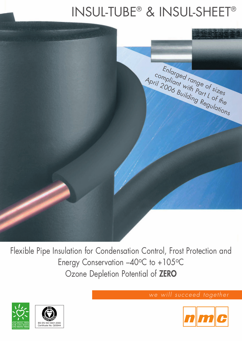## INSUL-TUBE® & INSUL-SHEET®



Flexible Pipe Insulation for Condensation Control, Frost Protection and Energy Conservation -40°C to +105°C Ozone Depletion Potential of **ZERO**





*we will succeed together*